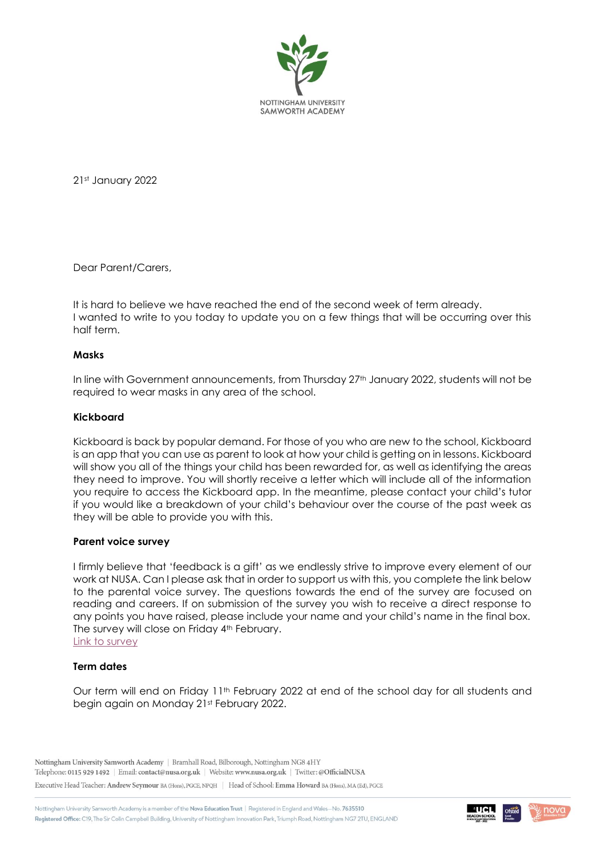

21st January 2022

Dear Parent/Carers,

It is hard to believe we have reached the end of the second week of term already. I wanted to write to you today to update you on a few things that will be occurring over this half term.

### **Masks**

In line with Government announcements, from Thursday 27<sup>th</sup> January 2022, students will not be required to wear masks in any area of the school.

# **Kickboard**

Kickboard is back by popular demand. For those of you who are new to the school, Kickboard is an app that you can use as parent to look at how your child is getting on in lessons. Kickboard will show you all of the things your child has been rewarded for, as well as identifying the areas they need to improve. You will shortly receive a letter which will include all of the information you require to access the Kickboard app. In the meantime, please contact your child's tutor if you would like a breakdown of your child's behaviour over the course of the past week as they will be able to provide you with this.

#### **Parent voice survey**

I firmly believe that 'feedback is a gift' as we endlessly strive to improve every element of our work at NUSA. Can I please ask that in order to support us with this, you complete the link below to the parental voice survey. The questions towards the end of the survey are focused on reading and careers. If on submission of the survey you wish to receive a direct response to any points you have raised, please include your name and your child's name in the final box. The survey will close on Friday 4<sup>th</sup> February. [Link to survey](https://forms.office.com/Pages/ResponsePage.aspx?id=LuLr9FO180SIVj4NhJCOuJ3l5BxLxw5AjCKkTPyHePBURTJJSlg5TURHNkxQM1U4WDVER00xUFNSNy4u)

### **Term dates**

Our term will end on Friday 11<sup>th</sup> February 2022 at end of the school day for all students and begin again on Monday 21st February 2022.

Nottingham University Samworth Academy | Bramhall Road, Bilborough, Nottingham NG8 4HY Telephone: 0115 929 1492 | Email: contact@nusa.org.uk | Website: www.nusa.org.uk | Twitter: @OfficialNUSA

Executive Head Teacher: Andrew Seymour BA (Hons), PGCE, NPQH | Head of School: Emma Howard BA (Hons), MA (Ed), PGCE